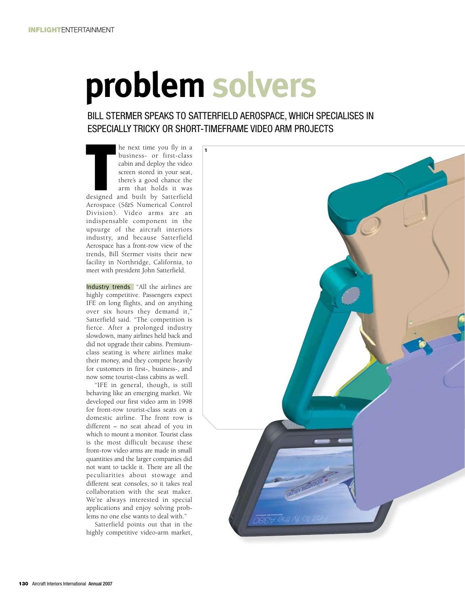## **problem solvers**

## bill stermer speaks to satterfield Aerospace, which specialises in especially tricky or short-timeframe video arm projects

he next time you fly in a<br>business- or first-class<br>cabin and deploy the video<br>screen stored in your seat,<br>there's a good chance the<br>arm that holds it was<br>designed and built by Satterfield he next time you fly in a business- or first-class cabin and deploy the video screen stored in your seat, there's a good chance the arm that holds it was Aerospace (S&S Numerical Control Division). Video arms are an indispensable component in the upsurge of the aircraft interiors industry, and because Satterfield Aerospace has a front-row view of the trends, Bill Stermer visits their new facility in Northridge, California, to meet with president John Satterfield.

Industry trends "All the airlines are highly competitive. Passengers expect IFE on long flights, and on anything over six hours they demand it," Satterfield said. "The competition is fierce. After a prolonged industry slowdown, many airlines held back and did not upgrade their cabins. Premiumclass seating is where airlines make their money, and they compete heavily for customers in first-, business-, and now some tourist-class cabins as well.

"IFE in general, though, is still behaving like an emerging market. We developed our first video arm in 1998 for front-row tourist-class seats on a domestic airline. The front row is different – no seat ahead of you in which to mount a monitor. Tourist class is the most difficult because these front-row video arms are made in small quantities and the larger companies did not want to tackle it. There are all the peculiarities about stowage and different seat consoles, so it takes real collaboration with the seat maker. We're always interested in special applications and enjoy solving problems no one else wants to deal with."

Satterfield points out that in the highly competitive video-arm market,

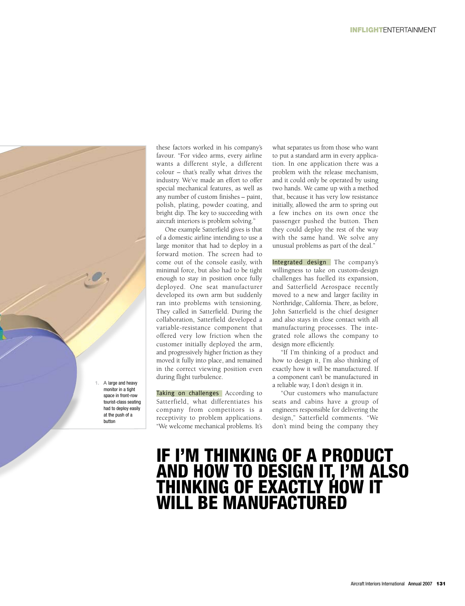

these factors worked in his company's favour. "For video arms, every airline wants a different style, a different colour – that's really what drives the industry. We've made an effort to offer special mechanical features, as well as any number of custom finishes – paint, polish, plating, powder coating, and bright dip. The key to succeeding with aircraft interiors is problem solving."

One example Satterfield gives is that of a domestic airline intending to use a large monitor that had to deploy in a forward motion. The screen had to come out of the console easily, with minimal force, but also had to be tight enough to stay in position once fully deployed. One seat manufacturer developed its own arm but suddenly ran into problems with tensioning. They called in Satterfield. During the collaboration, Satterfield developed a variable-resistance component that offered very low friction when the customer initially deployed the arm, and progressively higher friction as they moved it fully into place, and remained in the correct viewing position even during flight turbulence.

Taking on challenges According to Satterfield, what differentiates his company from competitors is a receptivity to problem applications. "We welcome mechanical problems. It's

what separates us from those who want to put a standard arm in every application. In one application there was a problem with the release mechanism, and it could only be operated by using two hands. We came up with a method that, because it has very low resistance initially, allowed the arm to spring out a few inches on its own once the passenger pushed the button. Then they could deploy the rest of the way with the same hand. We solve any unusual problems as part of the deal."

Integrated design The company's willingness to take on custom-design challenges has fuelled its expansion, and Satterfield Aerospace recently moved to a new and larger facility in Northridge, California. There, as before, John Satterfield is the chief designer and also stays in close contact with all manufacturing processes. The integrated role allows the company to design more efficiently.

"If I'm thinking of a product and how to design it, I'm also thinking of exactly how it will be manufactured. If a component can't be manufactured in a reliable way, I don't design it in.

"Our customers who manufacture seats and cabins have a group of engineers responsible for delivering the design," Satterfield comments. "We don't mind being the company they

## If I'm thinking of a product AND HOW TO DESIGN IT, I'M ALSO<br>THINKING OF EXACTLY HOW IT will be manufactured